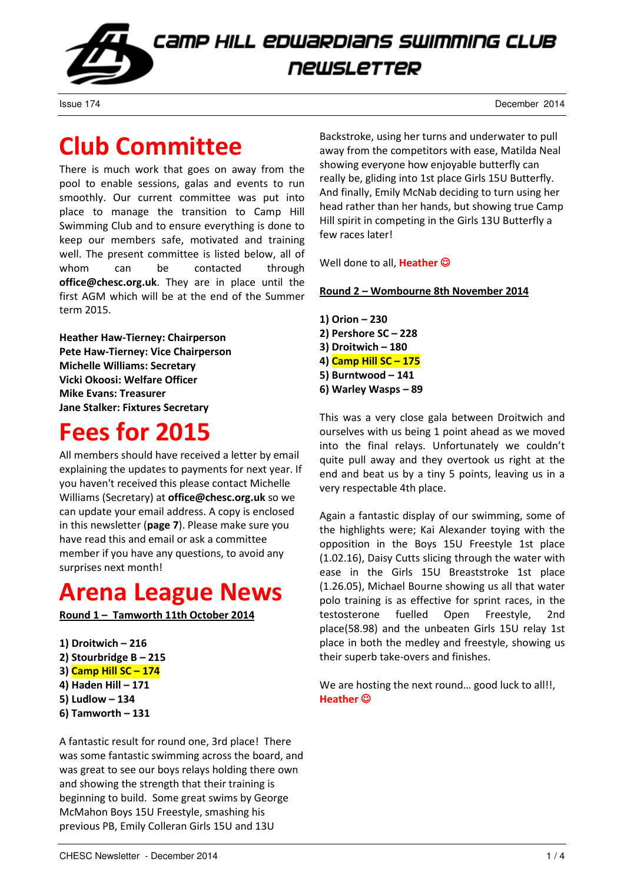

Issue 174 December 2014

## Club Committee

There is much work that goes on away from the pool to enable sessions, galas and events to run smoothly. Our current committee was put into place to manage the transition to Camp Hill Swimming Club and to ensure everything is done to keep our members safe, motivated and training well. The present committee is listed below, all of whom can be contacted through office@chesc.org.uk. They are in place until the first AGM which will be at the end of the Summer term 2015.

Heather Haw-Tierney: Chairperson Pete Haw-Tierney: Vice Chairperson Michelle Williams: Secretary Vicki Okoosi: Welfare Officer Mike Evans: Treasurer Jane Stalker: Fixtures Secretary

## Fees for 2015

All members should have received a letter by email explaining the updates to payments for next year. If you haven't received this please contact Michelle Williams (Secretary) at office@chesc.org.uk so we can update your email address. A copy is enclosed in this newsletter (page 7). Please make sure you have read this and email or ask a committee member if you have any questions, to avoid any surprises next month!

## Arena League News

Round 1 – Tamworth 11th October 2014

1) Droitwich – 216 2) Stourbridge B – 215 3) Camp Hill SC – 174 4) Haden Hill – 171 5) Ludlow – 134 6) Tamworth – 131

A fantastic result for round one, 3rd place! There was some fantastic swimming across the board, and was great to see our boys relays holding there own and showing the strength that their training is beginning to build. Some great swims by George McMahon Boys 15U Freestyle, smashing his previous PB, Emily Colleran Girls 15U and 13U

Backstroke, using her turns and underwater to pull away from the competitors with ease, Matilda Neal showing everyone how enjoyable butterfly can really be, gliding into 1st place Girls 15U Butterfly. And finally, Emily McNab deciding to turn using her head rather than her hands, but showing true Camp Hill spirit in competing in the Girls 13U Butterfly a few races later!

Well done to all. Heather  $\odot$ 

### Round 2 – Wombourne 8th November 2014

1) Orion – 230 2) Pershore SC – 228 3) Droitwich – 180 4) Camp Hill SC – 175 5) Burntwood – 141 6) Warley Wasps – 89

This was a very close gala between Droitwich and ourselves with us being 1 point ahead as we moved into the final relays. Unfortunately we couldn't quite pull away and they overtook us right at the end and beat us by a tiny 5 points, leaving us in a very respectable 4th place.

Again a fantastic display of our swimming, some of the highlights were; Kai Alexander toying with the opposition in the Boys 15U Freestyle 1st place (1.02.16), Daisy Cutts slicing through the water with ease in the Girls 15U Breaststroke 1st place (1.26.05), Michael Bourne showing us all that water polo training is as effective for sprint races, in the testosterone fuelled Open Freestyle, 2nd place(58.98) and the unbeaten Girls 15U relay 1st place in both the medley and freestyle, showing us their superb take-overs and finishes.

We are hosting the next round... good luck to all!!, Heather ☺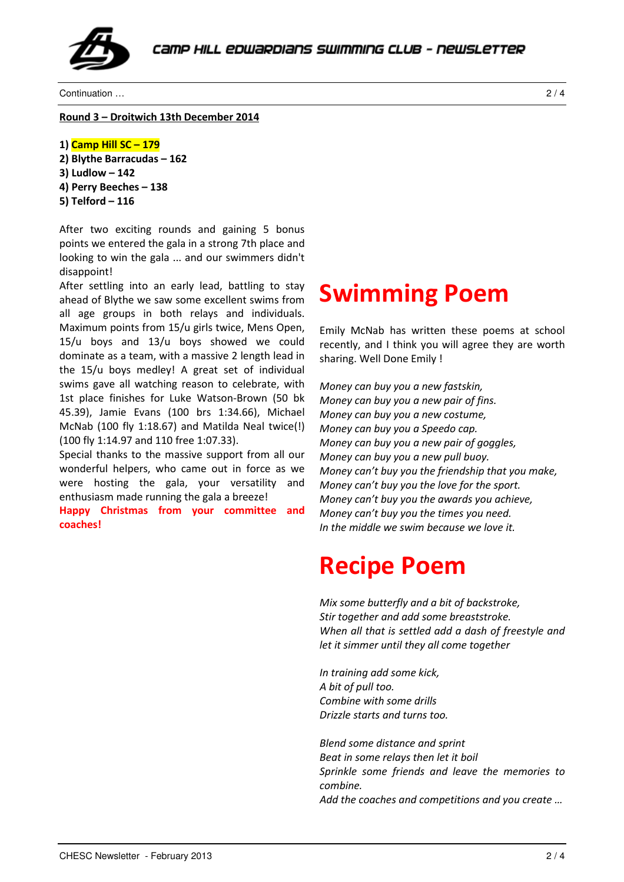

Continuation … 2 / 4

Round 3 – Droitwich 13th December 2014

```
1) Camp Hill SC – 179 
2) Blythe Barracudas – 162 
3) Ludlow – 142 
4) Perry Beeches – 138 
5) Telford – 116
```
After two exciting rounds and gaining 5 bonus points we entered the gala in a strong 7th place and looking to win the gala ... and our swimmers didn't disappoint!

After settling into an early lead, battling to stay ahead of Blythe we saw some excellent swims from all age groups in both relays and individuals. Maximum points from 15/u girls twice, Mens Open, 15/u boys and 13/u boys showed we could dominate as a team, with a massive 2 length lead in the 15/u boys medley! A great set of individual swims gave all watching reason to celebrate, with 1st place finishes for Luke Watson-Brown (50 bk 45.39), Jamie Evans (100 brs 1:34.66), Michael McNab (100 fly 1:18.67) and Matilda Neal twice(!) (100 fly 1:14.97 and 110 free 1:07.33).

Special thanks to the massive support from all our wonderful helpers, who came out in force as we were hosting the gala, your versatility and enthusiasm made running the gala a breeze!

Happy Christmas from your committee and coaches!

### Swimming Poem

Emily McNab has written these poems at school recently, and I think you will agree they are worth sharing. Well Done Emily !

Money can buy you a new fastskin, Money can buy you a new pair of fins. Money can buy you a new costume, Money can buy you a Speedo cap. Money can buy you a new pair of goggles, Money can buy you a new pull buoy. Money can't buy you the friendship that you make, Money can't buy you the love for the sport. Money can't buy you the awards you achieve, Money can't buy you the times you need. In the middle we swim because we love it.

## Recipe Poem

Mix some butterfly and a bit of backstroke, Stir together and add some breaststroke. When all that is settled add a dash of freestyle and let it simmer until they all come together

In training add some kick, A bit of pull too. Combine with some drills Drizzle starts and turns too.

Blend some distance and sprint Beat in some relays then let it boil Sprinkle some friends and leave the memories to combine. Add the coaches and competitions and you create …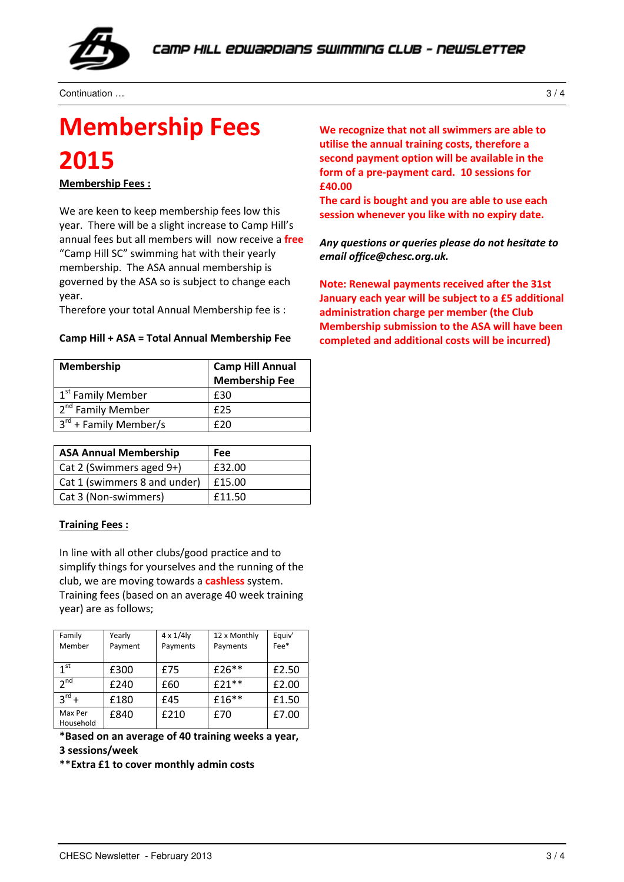

Continuation … 3 / 4

## Membership Fees 2015

Membership Fees :

We are keen to keep membership fees low this year. There will be a slight increase to Camp Hill's annual fees but all members will now receive a free "Camp Hill SC" swimming hat with their yearly membership. The ASA annual membership is governed by the ASA so is subject to change each year.

Therefore your total Annual Membership fee is :

|  |  |  |  | Camp Hill + ASA = Total Annual Membership Fee |  |
|--|--|--|--|-----------------------------------------------|--|
|--|--|--|--|-----------------------------------------------|--|

| Membership                    | <b>Camp Hill Annual</b><br><b>Membership Fee</b> |  |
|-------------------------------|--------------------------------------------------|--|
| 1 <sup>st</sup> Family Member | £30                                              |  |
| 2 <sup>nd</sup> Family Member | f25                                              |  |
| $3^{rd}$ + Family Member/s    | f 20                                             |  |

| <b>ASA Annual Membership</b> | Fee    |
|------------------------------|--------|
| Cat 2 (Swimmers aged 9+)     | £32.00 |
| Cat 1 (swimmers 8 and under) | £15.00 |
| Cat 3 (Non-swimmers)         | £11.50 |

### Training Fees :

In line with all other clubs/good practice and to simplify things for yourselves and the running of the club, we are moving towards a **cashless** system. Training fees (based on an average 40 week training

year) are as follows;

| Family<br>Member     | Yearly<br>Payment | $4 \times 1/4$<br>Payments | 12 x Monthly<br>Payments | Equiv'<br>Fee* |
|----------------------|-------------------|----------------------------|--------------------------|----------------|
|                      |                   |                            |                          |                |
| 1 <sup>st</sup>      | £300              | £75                        | £26**                    | £2.50          |
| 2 <sub>nd</sub>      | £240              | £60                        | $£21**$                  | £2.00          |
| $3^{\text{rd}} +$    | £180              | £45                        | £16**                    | £1.50          |
| Max Per<br>Household | £840              | £210                       | £70                      | £7.00          |

\*Based on an average of 40 training weeks a year,

3 sessions/week

\*\*Extra £1 to cover monthly admin costs

We recognize that not all swimmers are able to utilise the annual training costs, therefore a second payment option will be available in the form of a pre-payment card. 10 sessions for £40.00

The card is bought and you are able to use each session whenever you like with no expiry date.

Any questions or queries please do not hesitate to email office@chesc.org.uk.

Note: Renewal payments received after the 31st January each year will be subject to a £5 additional administration charge per member (the Club Membership submission to the ASA will have been completed and additional costs will be incurred)